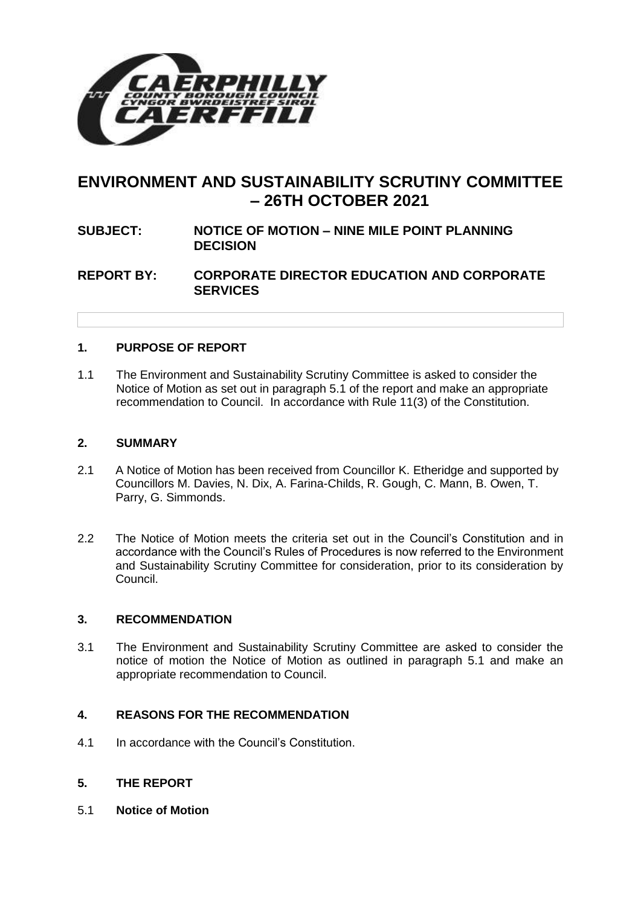

# **ENVIRONMENT AND SUSTAINABILITY SCRUTINY COMMITTEE – 26TH OCTOBER 2021**

## **SUBJECT: NOTICE OF MOTION – NINE MILE POINT PLANNING DECISION**

## **REPORT BY: CORPORATE DIRECTOR EDUCATION AND CORPORATE SERVICES**

#### **1. PURPOSE OF REPORT**

1.1 The Environment and Sustainability Scrutiny Committee is asked to consider the Notice of Motion as set out in paragraph 5.1 of the report and make an appropriate recommendation to Council. In accordance with Rule 11(3) of the Constitution.

#### **2. SUMMARY**

- 2.1 A Notice of Motion has been received from Councillor K. Etheridge and supported by Councillors M. Davies, N. Dix, A. Farina-Childs, R. Gough, C. Mann, B. Owen, T. Parry, G. Simmonds.
- 2.2 The Notice of Motion meets the criteria set out in the Council's Constitution and in accordance with the Council's Rules of Procedures is now referred to the Environment and Sustainability Scrutiny Committee for consideration, prior to its consideration by Council.

#### **3. RECOMMENDATION**

3.1 The Environment and Sustainability Scrutiny Committee are asked to consider the notice of motion the Notice of Motion as outlined in paragraph 5.1 and make an appropriate recommendation to Council.

#### **4. REASONS FOR THE RECOMMENDATION**

4.1 In accordance with the Council's Constitution.

#### **5. THE REPORT**

5.1 **Notice of Motion**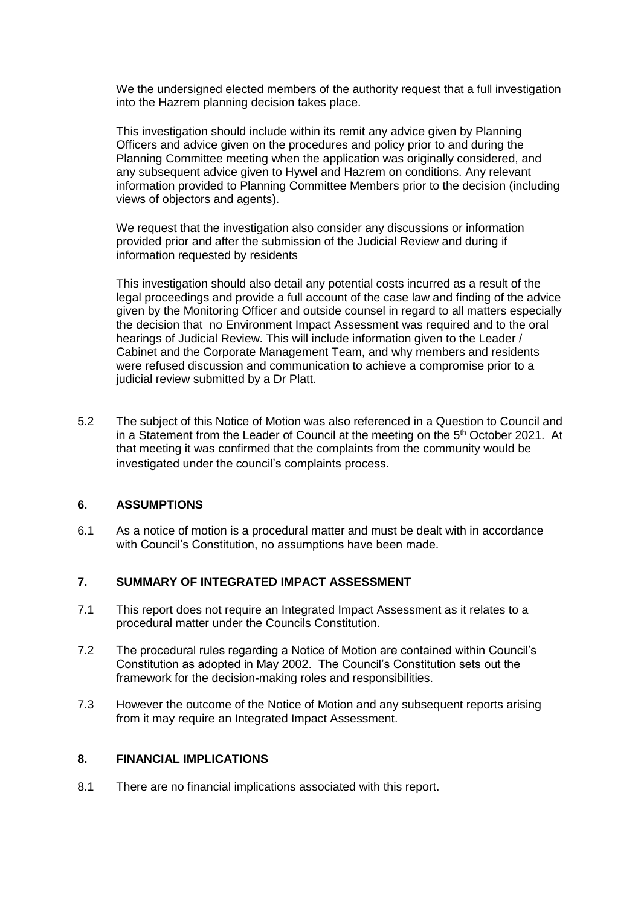We the undersigned elected members of the authority request that a full investigation into the Hazrem planning decision takes place.

This investigation should include within its remit any advice given by Planning Officers and advice given on the procedures and policy prior to and during the Planning Committee meeting when the application was originally considered, and any subsequent advice given to Hywel and Hazrem on conditions. Any relevant information provided to Planning Committee Members prior to the decision (including views of objectors and agents).

We request that the investigation also consider any discussions or information provided prior and after the submission of the Judicial Review and during if information requested by residents

This investigation should also detail any potential costs incurred as a result of the legal proceedings and provide a full account of the case law and finding of the advice given by the Monitoring Officer and outside counsel in regard to all matters especially the decision that no Environment Impact Assessment was required and to the oral hearings of Judicial Review. This will include information given to the Leader / Cabinet and the Corporate Management Team, and why members and residents were refused discussion and communication to achieve a compromise prior to a judicial review submitted by a Dr Platt.

5.2 The subject of this Notice of Motion was also referenced in a Question to Council and in a Statement from the Leader of Council at the meeting on the  $5<sup>th</sup>$  October 2021. At that meeting it was confirmed that the complaints from the community would be investigated under the council's complaints process.

#### **6. ASSUMPTIONS**

6.1 As a notice of motion is a procedural matter and must be dealt with in accordance with Council's Constitution, no assumptions have been made.

#### **7. SUMMARY OF INTEGRATED IMPACT ASSESSMENT**

- 7.1 This report does not require an Integrated Impact Assessment as it relates to a procedural matter under the Councils Constitution.
- 7.2 The procedural rules regarding a Notice of Motion are contained within Council's Constitution as adopted in May 2002. The Council's Constitution sets out the framework for the decision-making roles and responsibilities.
- 7.3 However the outcome of the Notice of Motion and any subsequent reports arising from it may require an Integrated Impact Assessment.

## **8. FINANCIAL IMPLICATIONS**

8.1 There are no financial implications associated with this report.